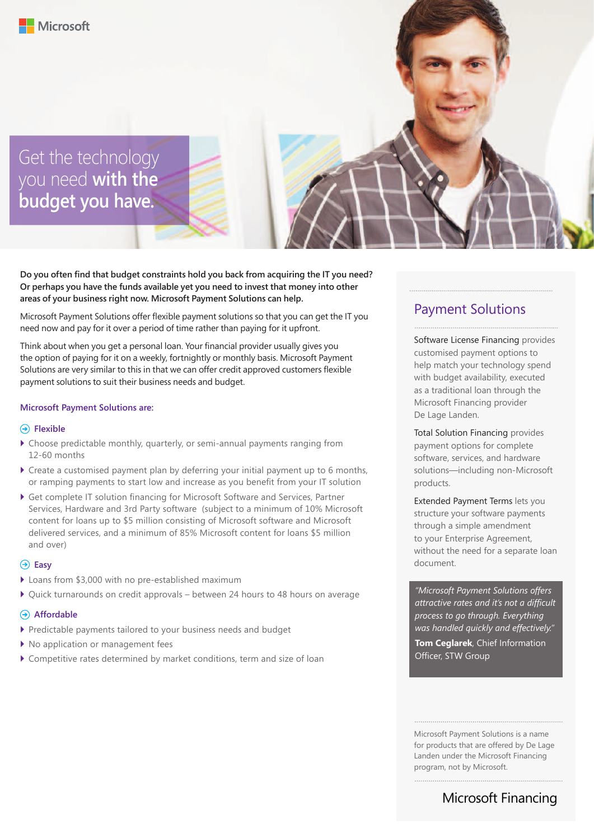Get the technology you need **with the budget you have.**

**Do you often find that budget constraints hold you back from acquiring the IT you need? Or perhaps you have the funds available yet you need to invest that money into other areas of your business right now. Microsoft Payment Solutions can help.** 

Microsoft Payment Solutions offer flexible payment solutions so that you can get the IT you need now and pay for it over a period of time rather than paying for it upfront.

Think about when you get a personal loan. Your financial provider usually gives you the option of paying for it on a weekly, fortnightly or monthly basis. Microsoft Payment Solutions are very similar to this in that we can offer credit approved customers flexible payment solutions to suit their business needs and budget.

#### **Microsoft Payment Solutions are:**

#### **Flexible**

- $\triangleright$  Choose predictable monthly, quarterly, or semi-annual payments ranging from 12-60 months
- $\blacktriangleright$  Create a customised payment plan by deferring your initial payment up to 6 months, or ramping payments to start low and increase as you benefit from your IT solution
- ▶ Get complete IT solution financing for Microsoft Software and Services, Partner Services, Hardware and 3rd Party software (subject to a minimum of 10% Microsoft content for loans up to \$5 million consisting of Microsoft software and Microsoft delivered services, and a minimum of 85% Microsoft content for loans \$5 million and over)

#### **Easy**

- $\blacktriangleright$  Loans from \$3,000 with no pre-established maximum
- ` Quick turnarounds on credit approvals between 24 hours to 48 hours on average

#### **Affordable**

- ` Predictable payments tailored to your business needs and budget
- $\blacktriangleright$  No application or management fees
- ` Competitive rates determined by market conditions, term and size of loan

#### Payment Solutions

Software License Financing provides customised payment options to help match your technology spend with budget availability, executed as a traditional loan through the Microsoft Financing provider De Lage Landen.

Total Solution Financing provides payment options for complete software, services, and hardware solutions—including non-Microsoft products.

Extended Payment Terms lets you structure your software payments through a simple amendment to your Enterprise Agreement, without the need for a separate loan document.

*"Microsoft Payment Solutions offers attractive rates and it's not a difficult process to go through. Everything was handled quickly and effectively."*  **Tom Ceglarek**, Chief Information Officer, STW Group

Microsoft Payment Solutions is a name for products that are offered by De Lage Landen under the Microsoft Financing program, not by Microsoft.

## Microsoft Financing